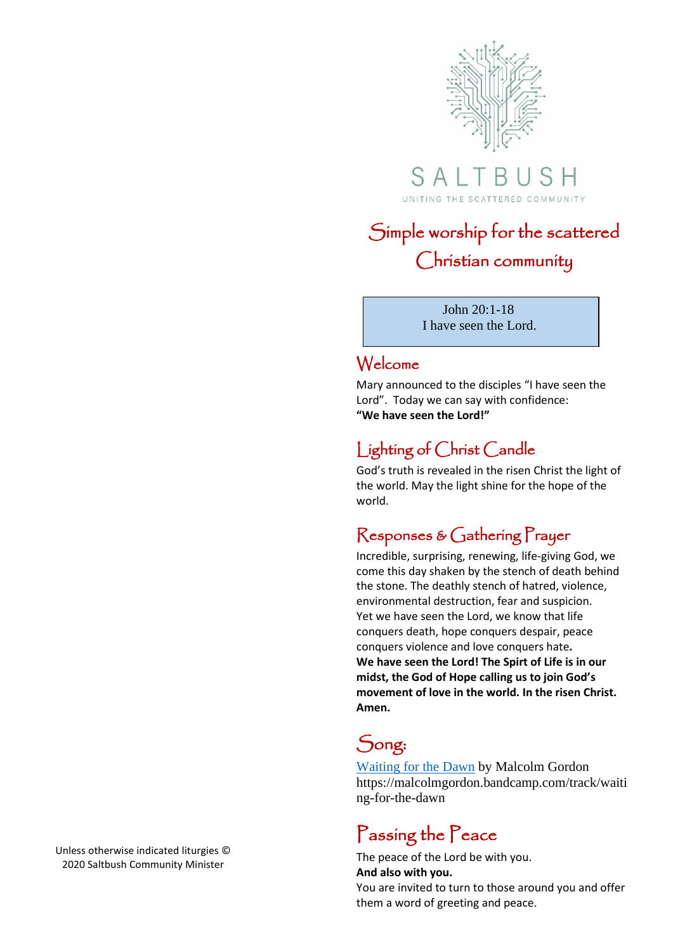

SALTB UNITING THE SCATTERED COMMUNITY

# Simple worship for the scattered Christian community

 John 20:1-18 I have seen the Lord.

### Welcome

Mary announced to the disciples "I have seen the Lord". Today we can say with confidence: **"We have seen the Lord!"**

## Lighting of Christ Candle

God's truth is revealed in the risen Christ the light of the world. May the light shine for the hope of the world.

### Responses & Gathering Prayer

Incredible, surprising, renewing, life-giving God, we come this day shaken by the stench of death behind the stone. The deathly stench of hatred, violence, environmental destruction, fear and suspicion. Yet we have seen the Lord, we know that life conquers death, hope conquers despair, peace conquers violence and love conquers hate**. We have seen the Lord! The Spirt of Life is in our midst, the God of Hope calling us to join God's movement of love in the world. In the risen Christ. Amen.** 

## Song:

[Waiting for the Dawn](https://malcolmgordon.bandcamp.com/track/waiting-for-the-dawn) by Malcolm Gordon https://malcolmgordon.bandcamp.com/track/waiti ng-for-the-dawn

## Passing the Peace

The peace of the Lord be with you. **And also with you.**

You are invited to turn to those around you and offer them a word of greeting and peace.

Unless otherwise indicated liturgies © 2020 Saltbush Community Minister